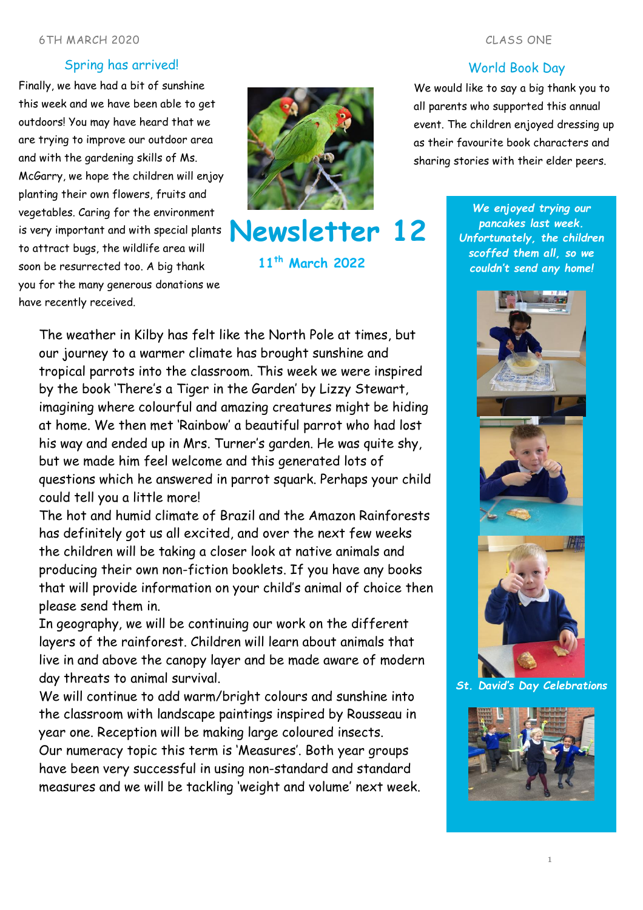### 6TH MARCH 2020 CLASS ONE

# Spring has arrived!

Finally, we have had a bit of sunshine this week and we have been able to get outdoors! You may have heard that we are trying to improve our outdoor area and with the gardening skills of Ms. McGarry, we hope the children will enjoy planting their own flowers, fruits and vegetables. Caring for the environment is very important and with special plants to attract bugs, the wildlife area will soon be resurrected too. A big thank you for the many generous donations we have recently received.



**Newsletter 12**

**11th March 2022**

# The weather in Kilby has felt like the North Pole at times, but our journey to a warmer climate has brought sunshine and tropical parrots into the classroom. This week we were inspired by the book 'There's a Tiger in the Garden' by Lizzy Stewart, imagining where colourful and amazing creatures might be hiding at home. We then met 'Rainbow' a beautiful parrot who had lost his way and ended up in Mrs. Turner's garden. He was quite shy, but we made him feel welcome and this generated lots of questions which he answered in parrot squark. Perhaps your child could tell you a little more!

The hot and humid climate of Brazil and the Amazon Rainforests has definitely got us all excited, and over the next few weeks the children will be taking a closer look at native animals and producing their own non-fiction booklets. If you have any books that will provide information on your child's animal of choice then please send them in.

In geography, we will be continuing our work on the different layers of the rainforest. Children will learn about animals that live in and above the canopy layer and be made aware of modern day threats to animal survival.

We will continue to add warm/bright colours and sunshine into the classroom with landscape paintings inspired by Rousseau in year one. Reception will be making large coloured insects.

Our numeracy topic this term is 'Measures'. Both year groups have been very successful in using non-standard and standard measures and we will be tackling 'weight and volume' next week.

### World Book Day

We would like to say a big thank you to all parents who supported this annual event. The children enjoyed dressing up as their favourite book characters and sharing stories with their elder peers.

> *We enjoyed trying our pancakes last week. Unfortunately, the children scoffed them all, so we couldn't send any home!*



*St. David's Day Celebrations*